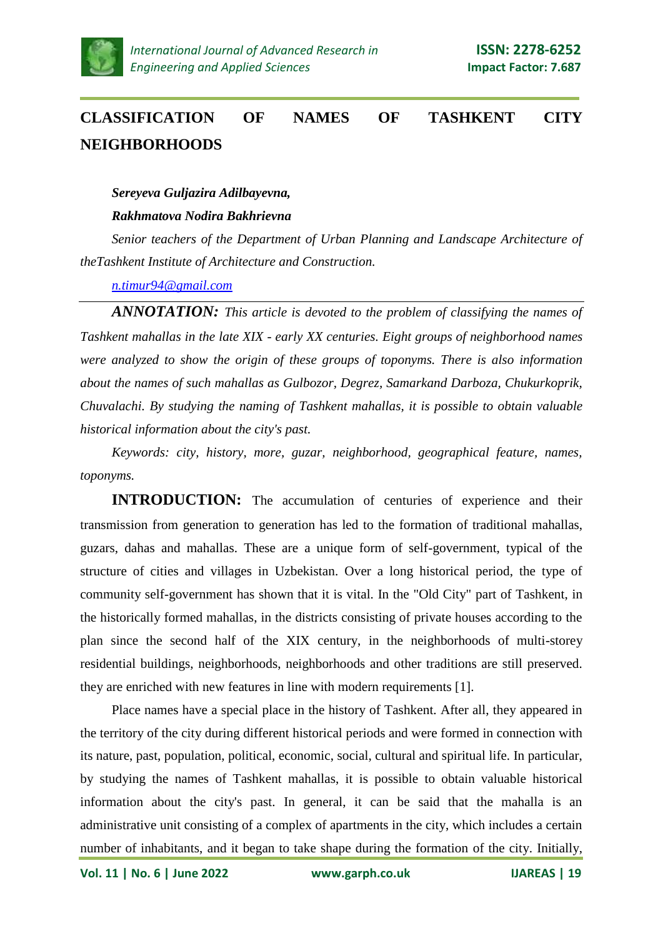

# **CLASSIFICATION OF NAMES OF TASHKENT CITY NEIGHBORHOODS**

#### *Sereyeva Guljazira Adilbayevna,*

#### *Rakhmatova Nodira Bakhrievna*

*Senior teachers of the Department of Urban Planning and Landscape Architecture of theTashkent Institute of Architecture and Construction.*

*[n.timur94@gmail.com](mailto:n.timur94@gmail.com)*

*ANNOTATION: This article is devoted to the problem of classifying the names of Tashkent mahallas in the late XIX - early XX centuries. Eight groups of neighborhood names were analyzed to show the origin of these groups of toponyms. There is also information about the names of such mahallas as Gulbozor, Degrez, Samarkand Darboza, Chukurkoprik, Chuvalachi. By studying the naming of Tashkent mahallas, it is possible to obtain valuable historical information about the city's past.*

*Keywords: city, history, more, guzar, neighborhood, geographical feature, names, toponyms.*

**INTRODUCTION:** The accumulation of centuries of experience and their transmission from generation to generation has led to the formation of traditional mahallas, guzars, dahas and mahallas. These are a unique form of self-government, typical of the structure of cities and villages in Uzbekistan. Over a long historical period, the type of community self-government has shown that it is vital. In the "Old City" part of Tashkent, in the historically formed mahallas, in the districts consisting of private houses according to the plan since the second half of the XIX century, in the neighborhoods of multi-storey residential buildings, neighborhoods, neighborhoods and other traditions are still preserved. they are enriched with new features in line with modern requirements [1].

Place names have a special place in the history of Tashkent. After all, they appeared in the territory of the city during different historical periods and were formed in connection with its nature, past, population, political, economic, social, cultural and spiritual life. In particular, by studying the names of Tashkent mahallas, it is possible to obtain valuable historical information about the city's past. In general, it can be said that the mahalla is an administrative unit consisting of a complex of apartments in the city, which includes a certain number of inhabitants, and it began to take shape during the formation of the city. Initially,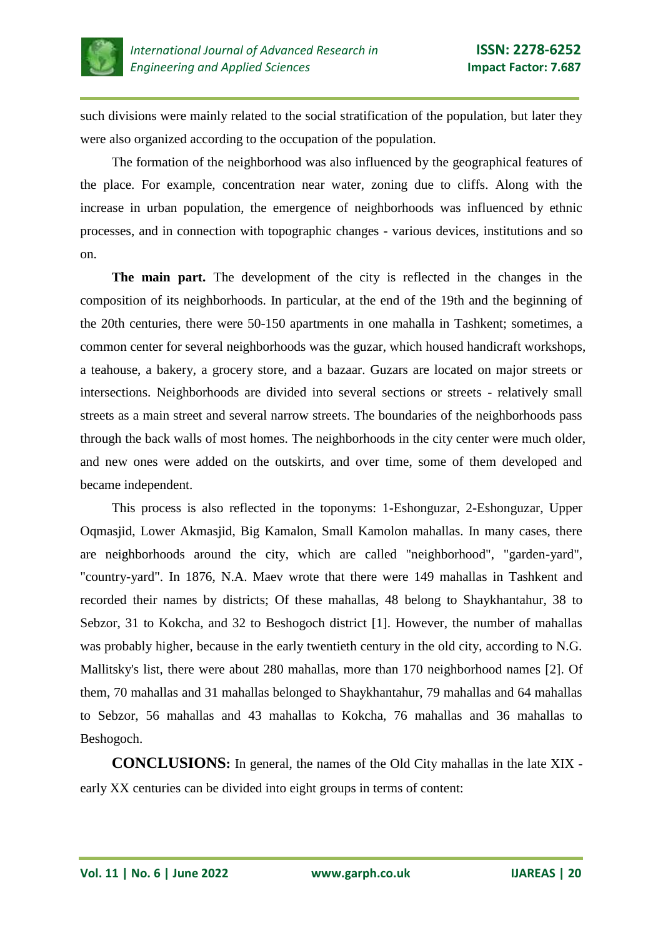

such divisions were mainly related to the social stratification of the population, but later they were also organized according to the occupation of the population.

The formation of the neighborhood was also influenced by the geographical features of the place. For example, concentration near water, zoning due to cliffs. Along with the increase in urban population, the emergence of neighborhoods was influenced by ethnic processes, and in connection with topographic changes - various devices, institutions and so on.

**The main part.** The development of the city is reflected in the changes in the composition of its neighborhoods. In particular, at the end of the 19th and the beginning of the 20th centuries, there were 50-150 apartments in one mahalla in Tashkent; sometimes, a common center for several neighborhoods was the guzar, which housed handicraft workshops, a teahouse, a bakery, a grocery store, and a bazaar. Guzars are located on major streets or intersections. Neighborhoods are divided into several sections or streets - relatively small streets as a main street and several narrow streets. The boundaries of the neighborhoods pass through the back walls of most homes. The neighborhoods in the city center were much older, and new ones were added on the outskirts, and over time, some of them developed and became independent.

This process is also reflected in the toponyms: 1-Eshonguzar, 2-Eshonguzar, Upper Oqmasjid, Lower Akmasjid, Big Kamalon, Small Kamolon mahallas. In many cases, there are neighborhoods around the city, which are called "neighborhood", "garden-yard", "country-yard". In 1876, N.A. Maev wrote that there were 149 mahallas in Tashkent and recorded their names by districts; Of these mahallas, 48 belong to Shaykhantahur, 38 to Sebzor, 31 to Kokcha, and 32 to Beshogoch district [1]. However, the number of mahallas was probably higher, because in the early twentieth century in the old city, according to N.G. Mallitsky's list, there were about 280 mahallas, more than 170 neighborhood names [2]. Of them, 70 mahallas and 31 mahallas belonged to Shaykhantahur, 79 mahallas and 64 mahallas to Sebzor, 56 mahallas and 43 mahallas to Kokcha, 76 mahallas and 36 mahallas to Beshogoch.

**CONCLUSIONS:** In general, the names of the Old City mahallas in the late XIX early XX centuries can be divided into eight groups in terms of content: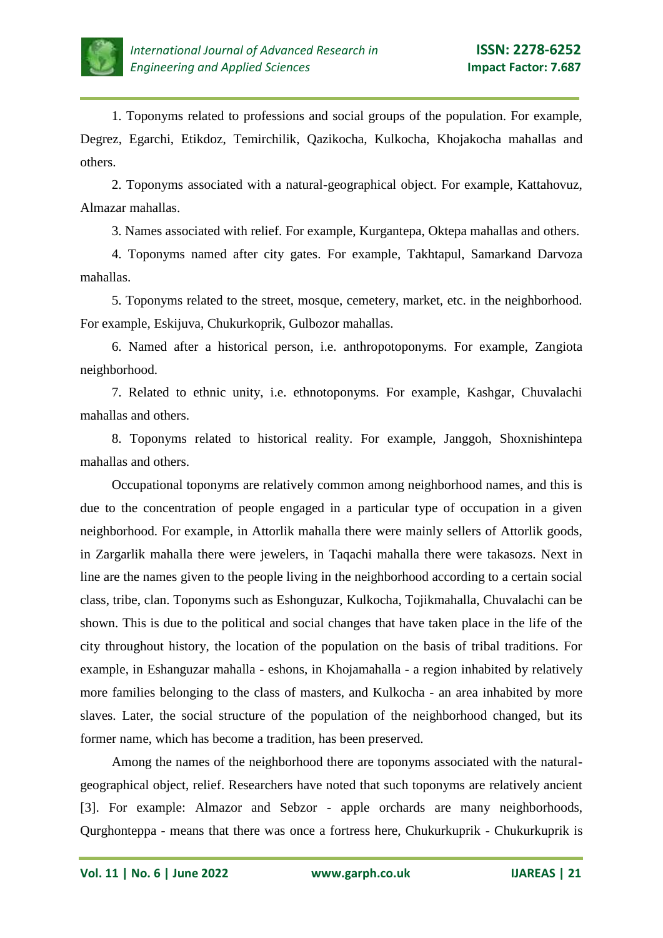

1. Toponyms related to professions and social groups of the population. For example, Degrez, Egarchi, Etikdoz, Temirchilik, Qazikocha, Kulkocha, Khojakocha mahallas and others.

2. Toponyms associated with a natural-geographical object. For example, Kattahovuz, Almazar mahallas.

3. Names associated with relief. For example, Kurgantepa, Oktepa mahallas and others.

4. Toponyms named after city gates. For example, Takhtapul, Samarkand Darvoza mahallas.

5. Toponyms related to the street, mosque, cemetery, market, etc. in the neighborhood. For example, Eskijuva, Chukurkoprik, Gulbozor mahallas.

6. Named after a historical person, i.e. anthropotoponyms. For example, Zangiota neighborhood.

7. Related to ethnic unity, i.e. ethnotoponyms. For example, Kashgar, Chuvalachi mahallas and others.

8. Toponyms related to historical reality. For example, Janggoh, Shoxnishintepa mahallas and others.

Occupational toponyms are relatively common among neighborhood names, and this is due to the concentration of people engaged in a particular type of occupation in a given neighborhood. For example, in Attorlik mahalla there were mainly sellers of Attorlik goods, in Zargarlik mahalla there were jewelers, in Taqachi mahalla there were takasozs. Next in line are the names given to the people living in the neighborhood according to a certain social class, tribe, clan. Toponyms such as Eshonguzar, Kulkocha, Tojikmahalla, Chuvalachi can be shown. This is due to the political and social changes that have taken place in the life of the city throughout history, the location of the population on the basis of tribal traditions. For example, in Eshanguzar mahalla - eshons, in Khojamahalla - a region inhabited by relatively more families belonging to the class of masters, and Kulkocha - an area inhabited by more slaves. Later, the social structure of the population of the neighborhood changed, but its former name, which has become a tradition, has been preserved.

Among the names of the neighborhood there are toponyms associated with the naturalgeographical object, relief. Researchers have noted that such toponyms are relatively ancient [3]. For example: Almazor and Sebzor - apple orchards are many neighborhoods, Qurghonteppa - means that there was once a fortress here, Chukurkuprik - Chukurkuprik is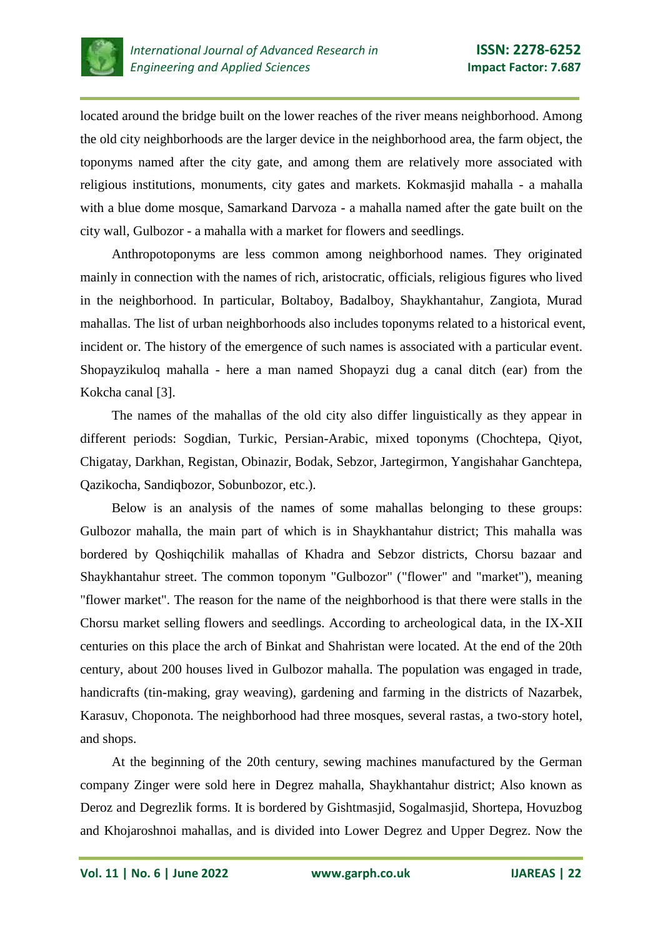

located around the bridge built on the lower reaches of the river means neighborhood. Among the old city neighborhoods are the larger device in the neighborhood area, the farm object, the toponyms named after the city gate, and among them are relatively more associated with religious institutions, monuments, city gates and markets. Kokmasjid mahalla - a mahalla with a blue dome mosque, Samarkand Darvoza - a mahalla named after the gate built on the city wall, Gulbozor - a mahalla with a market for flowers and seedlings.

Anthropotoponyms are less common among neighborhood names. They originated mainly in connection with the names of rich, aristocratic, officials, religious figures who lived in the neighborhood. In particular, Boltaboy, Badalboy, Shaykhantahur, Zangiota, Murad mahallas. The list of urban neighborhoods also includes toponyms related to a historical event, incident or. The history of the emergence of such names is associated with a particular event. Shopayzikuloq mahalla - here a man named Shopayzi dug a canal ditch (ear) from the Kokcha canal [3].

The names of the mahallas of the old city also differ linguistically as they appear in different periods: Sogdian, Turkic, Persian-Arabic, mixed toponyms (Chochtepa, Qiyot, Chigatay, Darkhan, Registan, Obinazir, Bodak, Sebzor, Jartegirmon, Yangishahar Ganchtepa, Qazikocha, Sandiqbozor, Sobunbozor, etc.).

Below is an analysis of the names of some mahallas belonging to these groups: Gulbozor mahalla, the main part of which is in Shaykhantahur district; This mahalla was bordered by Qoshiqchilik mahallas of Khadra and Sebzor districts, Chorsu bazaar and Shaykhantahur street. The common toponym "Gulbozor" ("flower" and "market"), meaning "flower market". The reason for the name of the neighborhood is that there were stalls in the Chorsu market selling flowers and seedlings. According to archeological data, in the IX-XII centuries on this place the arch of Binkat and Shahristan were located. At the end of the 20th century, about 200 houses lived in Gulbozor mahalla. The population was engaged in trade, handicrafts (tin-making, gray weaving), gardening and farming in the districts of Nazarbek, Karasuv, Choponota. The neighborhood had three mosques, several rastas, a two-story hotel, and shops.

At the beginning of the 20th century, sewing machines manufactured by the German company Zinger were sold here in Degrez mahalla, Shaykhantahur district; Also known as Deroz and Degrezlik forms. It is bordered by Gishtmasjid, Sogalmasjid, Shortepa, Hovuzbog and Khojaroshnoi mahallas, and is divided into Lower Degrez and Upper Degrez. Now the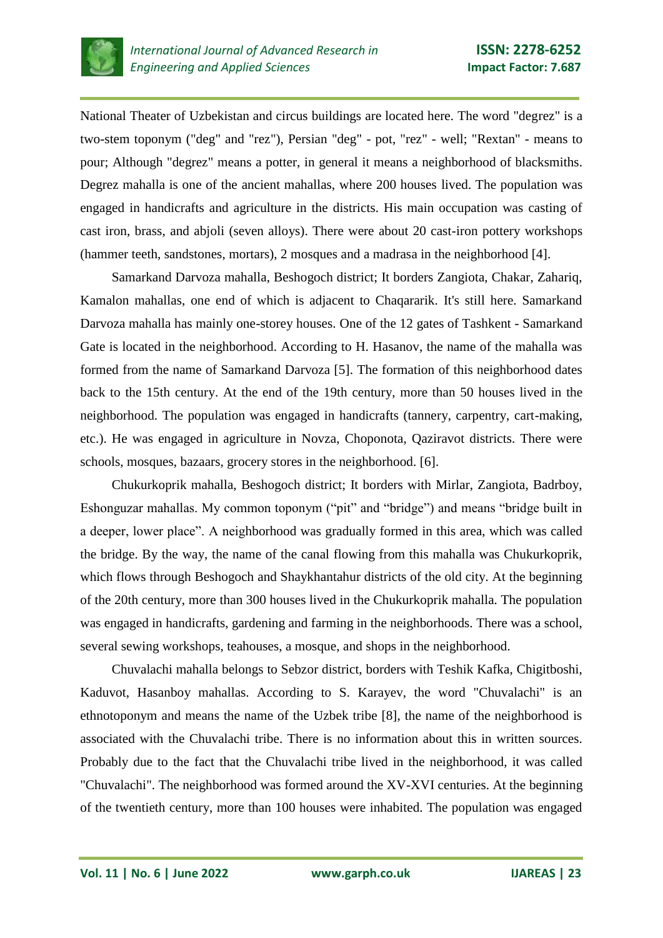

National Theater of Uzbekistan and circus buildings are located here. The word "degrez" is a two-stem toponym ("deg" and "rez"), Persian "deg" - pot, "rez" - well; "Rextan" - means to pour; Although "degrez" means a potter, in general it means a neighborhood of blacksmiths. Degrez mahalla is one of the ancient mahallas, where 200 houses lived. The population was engaged in handicrafts and agriculture in the districts. His main occupation was casting of cast iron, brass, and abjoli (seven alloys). There were about 20 cast-iron pottery workshops (hammer teeth, sandstones, mortars), 2 mosques and a madrasa in the neighborhood [4].

Samarkand Darvoza mahalla, Beshogoch district; It borders Zangiota, Chakar, Zahariq, Kamalon mahallas, one end of which is adjacent to Chaqararik. It's still here. Samarkand Darvoza mahalla has mainly one-storey houses. One of the 12 gates of Tashkent - Samarkand Gate is located in the neighborhood. According to H. Hasanov, the name of the mahalla was formed from the name of Samarkand Darvoza [5]. The formation of this neighborhood dates back to the 15th century. At the end of the 19th century, more than 50 houses lived in the neighborhood. The population was engaged in handicrafts (tannery, carpentry, cart-making, etc.). He was engaged in agriculture in Novza, Choponota, Qaziravot districts. There were schools, mosques, bazaars, grocery stores in the neighborhood. [6].

Chukurkoprik mahalla, Beshogoch district; It borders with Mirlar, Zangiota, Badrboy, Eshonguzar mahallas. My common toponym ("pit" and "bridge") and means "bridge built in a deeper, lower place". A neighborhood was gradually formed in this area, which was called the bridge. By the way, the name of the canal flowing from this mahalla was Chukurkoprik, which flows through Beshogoch and Shaykhantahur districts of the old city. At the beginning of the 20th century, more than 300 houses lived in the Chukurkoprik mahalla. The population was engaged in handicrafts, gardening and farming in the neighborhoods. There was a school, several sewing workshops, teahouses, a mosque, and shops in the neighborhood.

Chuvalachi mahalla belongs to Sebzor district, borders with Teshik Kafka, Chigitboshi, Kaduvot, Hasanboy mahallas. According to S. Karayev, the word "Chuvalachi" is an ethnotoponym and means the name of the Uzbek tribe [8], the name of the neighborhood is associated with the Chuvalachi tribe. There is no information about this in written sources. Probably due to the fact that the Chuvalachi tribe lived in the neighborhood, it was called "Chuvalachi". The neighborhood was formed around the XV-XVI centuries. At the beginning of the twentieth century, more than 100 houses were inhabited. The population was engaged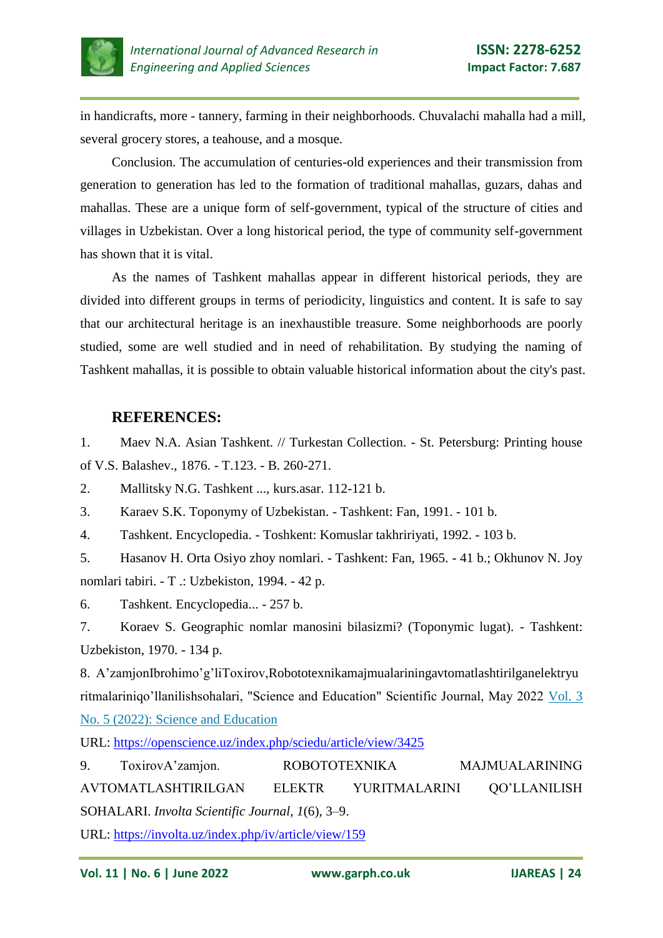

in handicrafts, more - tannery, farming in their neighborhoods. Chuvalachi mahalla had a mill, several grocery stores, a teahouse, and a mosque.

Conclusion. The accumulation of centuries-old experiences and their transmission from generation to generation has led to the formation of traditional mahallas, guzars, dahas and mahallas. These are a unique form of self-government, typical of the structure of cities and villages in Uzbekistan. Over a long historical period, the type of community self-government has shown that it is vital.

As the names of Tashkent mahallas appear in different historical periods, they are divided into different groups in terms of periodicity, linguistics and content. It is safe to say that our architectural heritage is an inexhaustible treasure. Some neighborhoods are poorly studied, some are well studied and in need of rehabilitation. By studying the naming of Tashkent mahallas, it is possible to obtain valuable historical information about the city's past.

## **REFERENCES:**

1. Maev N.A. Asian Tashkent. // Turkestan Collection. - St. Petersburg: Printing house of V.S. Balashev., 1876. - T.123. - B. 260-271.

2. Mallitsky N.G. Tashkent ..., kurs.asar. 112-121 b.

3. Karaev S.K. Toponymy of Uzbekistan. - Tashkent: Fan, 1991. - 101 b.

4. Tashkent. Encyclopedia. - Toshkent: Komuslar takhririyati, 1992. - 103 b.

5. Hasanov H. Orta Osiyo zhoy nomlari. - Tashkent: Fan, 1965. - 41 b.; Okhunov N. Joy nomlari tabiri. - T .: Uzbekiston, 1994. - 42 p.

6. Tashkent. Encyclopedia... - 257 b.

7. Koraev S. Geographic nomlar manosini bilasizmi? (Toponymic lugat). - Tashkent: Uzbekiston, 1970. - 134 p.

8. A'zamjonIbrohimo'g'liToxirov,Robototexnikamajmualariningavtomatlashtirilganelektryu ritmalariniqo'llanilishsohalari, "Science and Education" Scientific Journal, May 2022 [Vol. 3](https://openscience.uz/index.php/sciedu/issue/view/33)  [No. 5 \(2022\): Science and Education](https://openscience.uz/index.php/sciedu/issue/view/33)

URL:<https://openscience.uz/index.php/sciedu/article/view/3425>

9. ToxirovA'zamjon. ROBOTOTEXNIKA MAJMUALARINING AVTOMATLASHTIRILGAN ELEKTR YURITMALARINI QO'LLANILISH SOHALARI. *Involta Scientific Journal*, *1*(6), 3–9.

URL:<https://involta.uz/index.php/iv/article/view/159>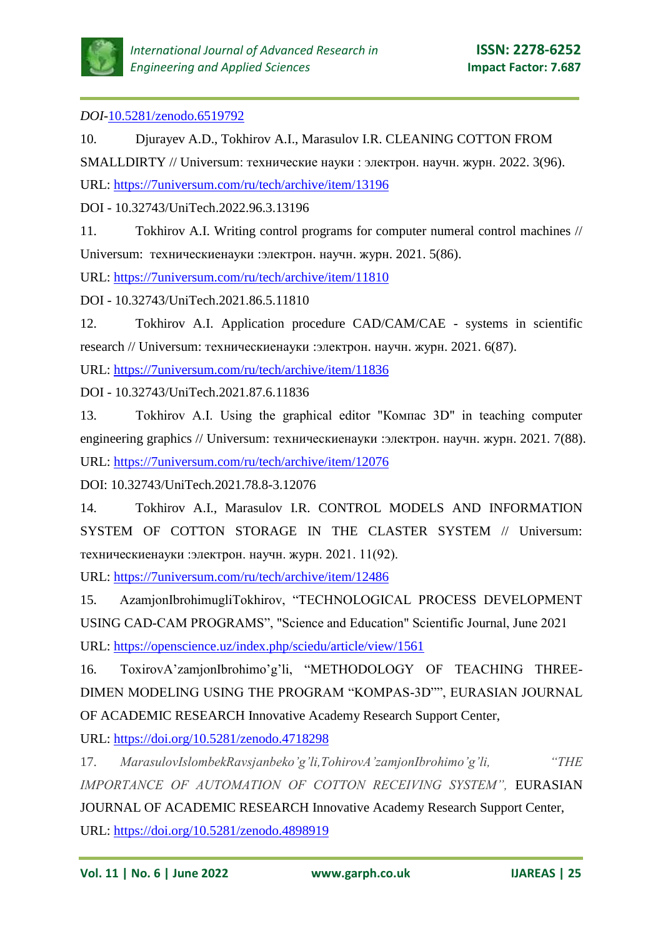

### *DOI-*[10.5281/zenodo.6519792](https://doi.org/10.5281/zenodo.6519792)

10. Djurayev A.D., Tokhirov A.I., Marasulov I.R. CLEANING COTTON FROM SMALLDIRTY // Universum: технические науки : электрон. научн. журн. 2022. 3(96). URL:<https://7universum.com/ru/tech/archive/item/13196>

DOI - 10.32743/UniTech.2022.96.3.13196

11. Tokhirov A.I. Writing control programs for computer numeral control machines // Universum: техническиенауки :электрон. научн. журн. 2021. 5(86).

URL:<https://7universum.com/ru/tech/archive/item/11810>

DOI - 10.32743/UniTech.2021.86.5.11810

12. Tokhirov A.I. Application procedure CAD/CAM/CAE - systems in scientific research // Universum: техническиенауки :электрон. научн. журн. 2021. 6(87).

URL:<https://7universum.com/ru/tech/archive/item/11836>

DOI - 10.32743/UniTech.2021.87.6.11836

13. Tokhirov A.I. Using the graphical editor "Компас 3D" in teaching computer engineering graphics // Universum: техническиенауки :электрон. научн. журн. 2021. 7(88). URL:<https://7universum.com/ru/tech/archive/item/12076>

DOI: 10.32743/UniTech.2021.78.8-3.12076

14. Tokhirov A.I., Marasulov I.R. CONTROL MODELS AND INFORMATION SYSTEM OF COTTON STORAGE IN THE CLASTER SYSTEM // Universum: техническиенауки :электрон. научн. журн. 2021. 11(92).

URL:<https://7universum.com/ru/tech/archive/item/12486>

15. AzamjonIbrohimugliTokhirov, "TECHNOLOGICAL PROCESS DEVELOPMENT USING CAD-CAM PROGRAMS", "Science and Education" Scientific Journal, June 2021 URL:<https://openscience.uz/index.php/sciedu/article/view/1561>

16. ToxirovA'zamjonIbrohimo'g'li, "METHODOLOGY OF TEACHING THREE-DIMEN MODELING USING THE PROGRAM "KOMPAS-3D"", EURASIAN JOURNAL OF ACADEMIC RESEARCH Innovative Academy Research Support Center,

URL:<https://doi.org/10.5281/zenodo.4718298>

17. *MarasulovIslombekRavsjanbeko'g'li,TohirovA'zamjonIbrohimo'g'li, "THE IMPORTANCE OF AUTOMATION OF COTTON RECEIVING SYSTEM",* EURASIAN JOURNAL OF ACADEMIC RESEARCH Innovative Academy Research Support Center, URL:<https://doi.org/10.5281/zenodo.4898919>